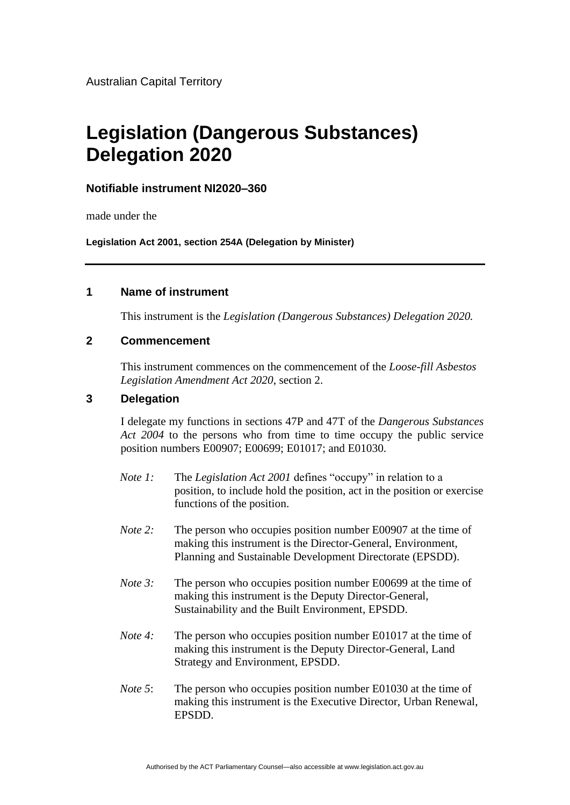# **Legislation (Dangerous Substances) Delegation 2020**

## **Notifiable instrument NI2020–360**

made under the

**Legislation Act 2001, section 254A (Delegation by Minister)**

### **1 Name of instrument**

This instrument is the *Legislation (Dangerous Substances) Delegation 2020.*

#### **2 Commencement**

This instrument commences on the commencement of the *Loose-fill Asbestos Legislation Amendment Act 2020*, section 2.

#### **3 Delegation**

I delegate my functions in sections 47P and 47T of the *Dangerous Substances Act 2004* to the persons who from time to time occupy the public service position numbers E00907; E00699; E01017; and E01030.

- *Note 1:* The *Legislation Act 2001* defines "occupy" in relation to a position, to include hold the position, act in the position or exercise functions of the position.
- *Note 2:* The person who occupies position number E00907 at the time of making this instrument is the Director-General, Environment, Planning and Sustainable Development Directorate (EPSDD).
- *Note* 3: The person who occupies position number E00699 at the time of making this instrument is the Deputy Director-General, Sustainability and the Built Environment, EPSDD.
- *Note 4*: The person who occupies position number E01017 at the time of making this instrument is the Deputy Director-General, Land Strategy and Environment, EPSDD.
- *Note* 5: The person who occupies position number E01030 at the time of making this instrument is the Executive Director, Urban Renewal, EPSDD.